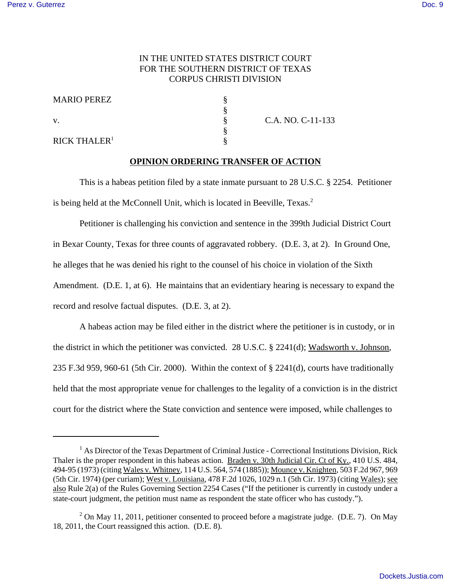## IN THE UNITED STATES DISTRICT COURT FOR THE SOUTHERN DISTRICT OF TEXAS CORPUS CHRISTI DIVISION

§

§

| <b>MARIO PEREZ</b> |  |
|--------------------|--|
|                    |  |

 $RICK$  THALER<sup>1</sup>

v. S C.A. NO. C-11-133

## **OPINION ORDERING TRANSFER OF ACTION**

This is a habeas petition filed by a state inmate pursuant to 28 U.S.C. § 2254. Petitioner is being held at the McConnell Unit, which is located in Beeville, Texas.<sup>2</sup>

Petitioner is challenging his conviction and sentence in the 399th Judicial District Court in Bexar County, Texas for three counts of aggravated robbery. (D.E. 3, at 2). In Ground One, he alleges that he was denied his right to the counsel of his choice in violation of the Sixth Amendment. (D.E. 1, at 6). He maintains that an evidentiary hearing is necessary to expand the record and resolve factual disputes. (D.E. 3, at 2).

A habeas action may be filed either in the district where the petitioner is in custody, or in the district in which the petitioner was convicted. 28 U.S.C. § 2241(d); Wadsworth v. Johnson, 235 F.3d 959, 960-61 (5th Cir. 2000). Within the context of § 2241(d), courts have traditionally held that the most appropriate venue for challenges to the legality of a conviction is in the district court for the district where the State conviction and sentence were imposed, while challenges to

<sup>&</sup>lt;sup>1</sup> As Director of the Texas Department of Criminal Justice - Correctional Institutions Division, Rick Thaler is the proper respondent in this habeas action. Braden v. 30th Judicial Cir. Ct of Ky., 410 U.S. 484, 494-95 (1973) (citing Wales v. Whitney, 114 U.S. 564, 574 (1885)); Mounce v. Knighten, 503 F.2d 967, 969 (5th Cir. 1974) (per curiam); West v. Louisiana, 478 F.2d 1026, 1029 n.1 (5th Cir. 1973) (citing Wales); see also Rule 2(a) of the Rules Governing Section 2254 Cases ("If the petitioner is currently in custody under a state-court judgment, the petition must name as respondent the state officer who has custody.").

 $2$  On May 11, 2011, petitioner consented to proceed before a magistrate judge. (D.E. 7). On May 18, 2011, the Court reassigned this action. (D.E. 8).